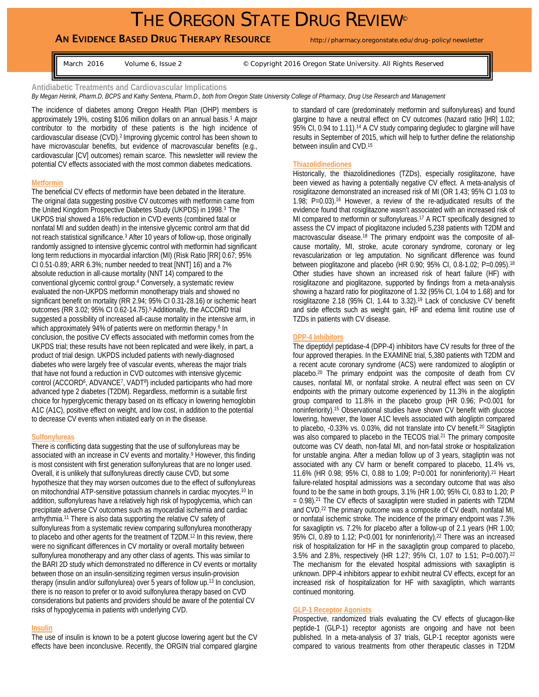# THE OREGON STATE DRUG REVIEW®

# **AN EVIDENCE BASED DRUG THERAPY RESOURCE** http://pharmacy.oregonstate.edu/drug-policy/newsletter

March 2016 Volume 6, Issue 2 <sup>©</sup> Copyright 2016 Oregon State University. All Rights Reserved

**Antidiabetic Treatments and Cardiovascular Implications** 

*By Megan Herink, Pharm.D, BCPS and Kathy Sentena, Pharm.D., both from Oregon State University College of Pharmacy, Drug Use Research and Management*

The incidence of diabetes among Oregon Health Plan (OHP) members is approximately 19%, costing \$106 million dollars on an annual basis.1 A major contributor to the morbidity of these patients is the high incidence of cardiovascular disease (CVD).2 Improving glycemic control has been shown to have microvascular benefits, but evidence of macrovascular benefits (e.g., cardiovascular [CV] outcomes) remain scarce. This newsletter will review the potential CV effects associated with the most common diabetes medications.

#### **Metformin**

The beneficial CV effects of metformin have been debated in the literature. The original data suggesting positive CV outcomes with metformin came from the United Kingdom Prospective Diabetes Study (UKPDS) in 1998.3 The UKPDS trial showed a 16% reduction in CVD events (combined fatal or nonfatal MI and sudden death) in the intensive glycemic control arm that did not reach statistical significance.<sup>3</sup> After 10 years of follow-up, those originally randomly assigned to intensive glycemic control with metformin had significant long term reductions in myocardial infarction (MI) (Risk Ratio [RR] 0.67; 95% CI 0.51-0.89; ARR 6.3%; number needed to treat [NNT] 16) and a 7% absolute reduction in all-cause mortality (NNT 14) compared to the conventional glycemic control group.4 Conversely, a systematic review evaluated the non-UKPDS metformin monotherapy trials and showed no significant benefit on mortality (RR 2.94; 95% CI 0.31-28.16) or ischemic heart outcomes (RR 3.02; 95% CI 0.62-14.75).5 Additionally, the ACCORD trial suggested a possibility of increased all-cause mortality in the intensive arm, in which approximately 94% of patients were on metformin therapy.<sup>6</sup> In conclusion, the positive CV effects associated with metformin comes from the UKPDS trial; these results have not been replicated and were likely, in part, a product of trial design. UKPDS included patients with newly-diagnosed diabetes who were largely free of vascular events, whereas the major trials that have not found a reduction in CVD outcomes with intensive glycemic control (ACCORD<sup>6</sup>, ADVANCE<sup>7</sup>, VADT<sup>8</sup>) included participants who had more advanced type 2 diabetes (T2DM). Regardless, metformin is a suitable first choice for hyperglycemic therapy based on its efficacy in lowering hemoglobin A1C (A1C), positive effect on weight, and low cost, in addition to the potential to decrease CV events when initiated early on in the disease.

#### **Sulfonylureas**

There is conflicting data suggesting that the use of sulfonylureas may be associated with an increase in CV events and mortality.9 However, this finding is most consistent with first generation sulfonylureas that are no longer used. Overall, it is unlikely that sulfonylureas directly cause CVD, but some hypothesize that they may worsen outcomes due to the effect of sulfonylureas on mitochondrial ATP-sensitive potassium channels in cardiac myocytes.10 In addition, sulfonylureas have a relatively high risk of hypoglycemia, which can precipitate adverse CV outcomes such as myocardial ischemia and cardiac arrhythmia.11 There is also data supporting the relative CV safety of sulfonylureas from a systematic review comparing sulfonylurea monotherapy to placebo and other agents for the treatment of T2DM.<sup>12</sup> In this review, there were no significant differences in CV mortality or overall mortality between sulfonylurea monotherapy and any other class of agents. This was similar to the BARI 2D study which demonstrated no difference in CV events or mortality between those on an insulin-sensitizing regimen versus insulin-provision therapy (insulin and/or sulfonylurea) over 5 years of follow up.13 In conclusion, there is no reason to prefer or to avoid sulfonylurea therapy based on CVD considerations but patients and providers should be aware of the potential CV risks of hypoglycemia in patients with underlying CVD.

#### **Insulin**

The use of insulin is known to be a potent glucose lowering agent but the CV effects have been inconclusive. Recently, the ORGIN trial compared glargine

to standard of care (predominately metformin and sulfonylureas) and found glargine to have a neutral effect on CV outcomes (hazard ratio [HR] 1.02; 95% CI, 0.94 to 1.11).<sup>14</sup> A CV study comparing degludec to glargine will have results in September of 2015, which will help to further define the relationship between insulin and CVD.15

#### **Thiazolidinediones**

Historically, the thiazolidinediones (TZDs), especially rosiglitazone, have been viewed as having a potentially negative CV effect. A meta-analysis of rosiglitazone demonstrated an increased risk of MI (OR 1.43; 95% CI 1.03 to 1.98;  $P=0.03$ ).<sup>16</sup> However, a review of the re-adjudicated results of the evidence found that rosiglitazone wasn't associated with an increased risk of MI compared to metformin or sulfonylureas.<sup>17</sup> A RCT specifically designed to assess the CV impact of pioglitazone included 5,238 patients with T2DM and macrovascular disease.<sup>18</sup> The primary endpoint was the composite of allcause mortality, MI, stroke, acute coronary syndrome, coronary or leg revascularization or leg amputation. No significant difference was found between pioglitazone and placebo (HR 0.90; 95% CI, 0.8-1.02; P=0.095).18 Other studies have shown an increased risk of heart failure (HF) with rosiglitazone and pioglitazone, supported by findings from a meta-analysis showing a hazard ratio for pioglitazone of 1.32 (95% CI, 1.04 to 1.68) and for rosiglitazone 2.18 (95% CI, 1.44 to 3.32).19 Lack of conclusive CV benefit and side effects such as weight gain, HF and edema limit routine use of TZDs in patients with CV disease.

#### **DPP-4 Inhibitors**

The dipeptidyl peptidase-4 (DPP-4) inhibitors have CV results for three of the four approved therapies. In the EXAMINE trial, 5,380 patients with T2DM and a recent acute coronary syndrome (ACS) were randomized to alogliptin or placebo.20 The primary endpoint was the composite of death from CV causes, nonfatal MI, or nonfatal stroke. A neutral effect was seen on CV endpoints with the primary outcome experienced by 11.3% in the alogliptin group compared to 11.8% in the placebo group (HR 0.96; P<0.001 for noninferiority).15 Observational studies have shown CV benefit with glucose lowering, however, the lower A1C levels associated with alogliptin compared to placebo, -0.33% vs. 0.03%, did not translate into CV benefit.20 Sitagliptin was also compared to placebo in the TECOS trial.<sup>21</sup> The primary composite outcome was CV death, non-fatal MI, and non-fatal stroke or hospitalization for unstable angina. After a median follow up of 3 years, sitagliptin was not associated with any CV harm or benefit compared to placebo, 11.4% vs, 11.6% (HR 0.98; 95% CI, 0.88 to 1.09; P=0.001 for noninferiority).21 Heart failure-related hospital admissions was a secondary outcome that was also found to be the same in both groups, 3.1% (HR 1.00; 95% CI, 0.83 to 1.20; P  $= 0.98$ ).<sup>21</sup> The CV effects of saxagliptin were studied in patients with T2DM and CVD.22 The primary outcome was a composite of CV death, nonfatal MI, or nonfatal ischemic stroke. The incidence of the primary endpoint was 7.3% for saxagliptin vs. 7.2% for placebo after a follow-up of 2.1 years (HR 1.00; 95% CI, 0.89 to 1.12; P<0.001 for noninferiority).22 There was an increased risk of hospitalization for HF in the saxagliptin group compared to placebo, 3.5% and 2.8%, respectively (HR 1.27; 95% CI, 1.07 to 1.51; P=0.007).22 The mechanism for the elevated hospital admissions with saxagliptin is unknown. DPP-4 inhibitors appear to exhibit neutral CV effects, except for an increased risk of hospitalization for HF with saxagliptin, which warrants continued monitoring.

## **GLP-1 Receptor Agonists**

Prospective, randomized trials evaluating the CV effects of glucagon-like peptide-1 (GLP-1) receptor agonists are ongoing and have not been published. In a meta-analysis of 37 trials, GLP-1 receptor agonists were compared to various treatments from other therapeutic classes in T2DM